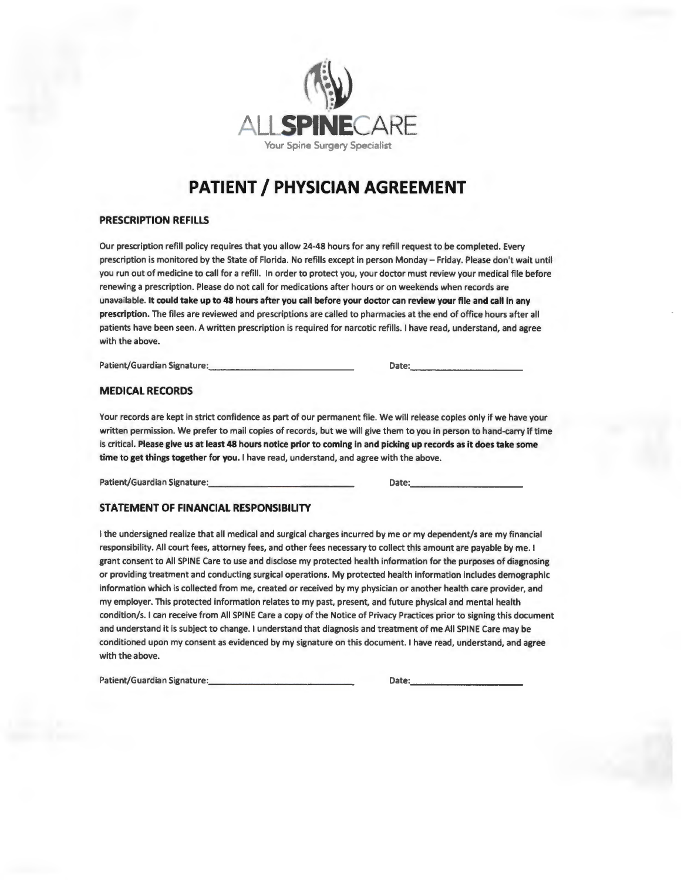

# **PATIENT/ PHYSICIAN AGREEMENT**

# **PRESCRIPTION REFILLS**

Our prescription refill policy requires that you allow 24-48 hours for any refill request to be completed. Every prescription is monitored by the State of Florida. No refills except in person Monday - Friday. Please don't wait until you run out of medicine to call for a refill. In order to protect you, your doctor must review your medical file before renewing a prescription. Please do not call for medications after hours or on weekends when records are unavailable. **It could take up to 48 hours after you call before your doctor can review your file and call in any prescription.** The files are reviewed and prescriptions are called to pharmacies at the end of office hours after all patients have been seen. A written prescription is required for narcotic refills. I have read, understand, and agree with the above.

Patient/Guardian Signature: \_\_\_\_\_\_\_\_\_\_\_\_\_ \_ Date: \_\_\_\_\_\_\_\_\_\_ \_

#### **MEDICAL RECORDS**

Your records are kept in strict confidence as part of our permanent file. We will release copies only if we have your written permission. We prefer to mail copies of records, but we will give them to you in person to hand-carry if time is critical. **Please give us at least 48 hours notice prior to coming in and picking up records as it does take some time to get things together for you.** I have read, understand, and agree with the above.

Patient/Guardian Signature: \_\_\_\_\_\_\_\_\_\_\_\_\_ \_ Date:. \_\_\_\_\_\_\_\_\_\_ \_

### **STATEMENT OF FINANCIAL RESPONSIBILITY**

I the undersigned realize that all medical and surgical charges incurred by me or my dependent/s are my financial responsibility. All court fees, attorney fees, and other fees necessary to collect this amount are payable by me. I grant consent to All SPINE Care to use and disclose my protected health information for the purposes of diagnosing or providing treatment and conducting surgical operations. **My** protected health information includes demographic information which is collected from me, created or received by my physician or another health care provider, and my employer. This protected information relates to my past, present, and future physical and mental health condition/s. I can receive from All SPINE Care a copy of the Notice of Privacy Practices prior to signing this document and understand it is subject to change. I understand that diagnosis and treatment of me All SPINE Care may be conditioned upon my consent as evidenced by my signature on this document. I have read, understand, and agree with the above.

Patient/Guardian Signature: \_\_\_\_\_\_\_\_\_\_\_\_\_ \_ Date:. \_\_\_\_\_\_\_\_\_\_ \_